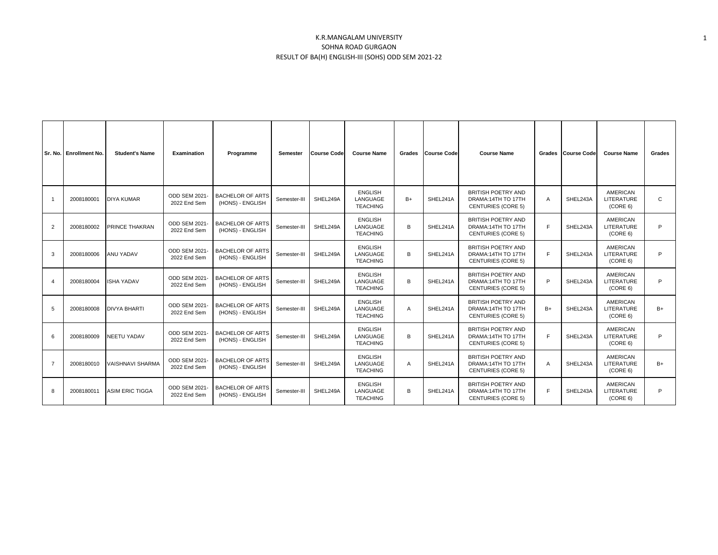## K.R.MANGALAM UNIVERSITY SOHNA ROAD GURGAON RESULT OF BA(H) ENGLISH-III (SOHS) ODD SEM 2021-22

|                | Sr. No. Enrollment No. | <b>Student's Name</b>   | Examination                          | Programme                                   | Semester     | <b>Course Code</b> | <b>Course Name</b>                            | Grades         | <b>Course Code</b> | <b>Course Name</b>                                                           | Grades         | <b>Course Code</b> | <b>Course Name</b>                               | Grades       |
|----------------|------------------------|-------------------------|--------------------------------------|---------------------------------------------|--------------|--------------------|-----------------------------------------------|----------------|--------------------|------------------------------------------------------------------------------|----------------|--------------------|--------------------------------------------------|--------------|
| $\overline{1}$ | 2008180001             | <b>DIYA KUMAR</b>       | ODD SEM 2021-<br>2022 End Sem        | <b>BACHELOR OF ARTS</b><br>(HONS) - ENGLISH | Semester-III | SHEL249A           | <b>ENGLISH</b><br>LANGUAGE<br><b>TEACHING</b> | $B+$           | SHEL241A           | BRITISH POETRY AND<br>DRAMA:14TH TO 17TH<br><b>CENTURIES (CORE 5)</b>        | $\overline{A}$ | SHEL243A           | <b>AMERICAN</b><br><b>LITERATURE</b><br>(CORE 6) | $\mathsf{C}$ |
| 2              | 2008180002             | PRINCE THAKRAN          | ODD SEM 2021-<br>2022 End Sem        | <b>BACHELOR OF ARTS</b><br>(HONS) - ENGLISH | Semester-III | SHEL249A           | <b>ENGLISH</b><br>LANGUAGE<br><b>TEACHING</b> | B              | SHEL241A           | BRITISH POETRY AND<br>DRAMA:14TH TO 17TH<br><b>CENTURIES (CORE 5)</b>        | E              | SHEL243A           | <b>AMERICAN</b><br><b>LITERATURE</b><br>(CORE 6) | P            |
| 3              | 2008180006             | <b>ANU YADAV</b>        | <b>ODD SEM 2021-</b><br>2022 End Sem | <b>BACHELOR OF ARTS</b><br>(HONS) - ENGLISH | Semester-III | SHEL249A           | <b>ENGLISH</b><br>LANGUAGE<br><b>TEACHING</b> | B              | SHEL241A           | <b>BRITISH POETRY AND</b><br>DRAMA:14TH TO 17TH<br><b>CENTURIES (CORE 5)</b> | F              | SHEL243A           | <b>AMERICAN</b><br>LITERATURE<br>(CORE 6)        | P            |
|                | 2008180004             | <b>ISHA YADAV</b>       | <b>ODD SEM 2021-</b><br>2022 End Sem | <b>BACHELOR OF ARTS</b><br>(HONS) - ENGLISH | Semester-III | SHEL249A           | <b>ENGLISH</b><br>LANGUAGE<br><b>TEACHING</b> | B              | SHEL241A           | <b>BRITISH POETRY AND</b><br>DRAMA:14TH TO 17TH<br><b>CENTURIES (CORE 5)</b> | P              | SHEL243A           | <b>AMERICAN</b><br><b>LITERATURE</b><br>(CORE 6) | P            |
| 5              | 2008180008             | <b>DIVYA BHARTI</b>     | ODD SEM 2021-<br>2022 End Sem        | <b>BACHELOR OF ARTS</b><br>(HONS) - ENGLISH | Semester-III | SHEL249A           | <b>ENGLISH</b><br>LANGUAGE<br><b>TEACHING</b> | $\overline{A}$ | SHEL241A           | BRITISH POETRY AND<br>DRAMA:14TH TO 17TH<br><b>CENTURIES (CORE 5)</b>        | $B+$           | SHEL243A           | <b>AMERICAN</b><br><b>LITERATURE</b><br>(CORE 6) | $B+$         |
| 6              | 2008180009             | <b>NEETU YADAV</b>      | <b>ODD SEM 2021-</b><br>2022 End Sem | <b>BACHELOR OF ARTS</b><br>(HONS) - ENGLISH | Semester-III | SHEL249A           | <b>ENGLISH</b><br>LANGUAGE<br><b>TEACHING</b> | B              | SHEL241A           | BRITISH POETRY AND<br>DRAMA:14TH TO 17TH<br><b>CENTURIES (CORE 5)</b>        | E              | SHEL243A           | AMERICAN<br><b>LITERATURE</b><br>(CORE 6)        | P            |
| $\overline{7}$ | 2008180010             | <b>VAISHNAVI SHARMA</b> | <b>ODD SEM 2021-</b><br>2022 End Sem | <b>BACHELOR OF ARTS</b><br>(HONS) - ENGLISH | Semester-III | SHEL249A           | <b>ENGLISH</b><br>LANGUAGE<br><b>TEACHING</b> | $\overline{A}$ | SHEL241A           | <b>BRITISH POETRY AND</b><br>DRAMA:14TH TO 17TH<br><b>CENTURIES (CORE 5)</b> | $\overline{A}$ | SHEL243A           | AMERICAN<br><b>LITERATURE</b><br>(CORE 6)        | $B+$         |
| 8              | 2008180011             | <b>ASIM ERIC TIGGA</b>  | ODD SEM 2021-<br>2022 End Sem        | <b>BACHELOR OF ARTS</b><br>(HONS) - ENGLISH | Semester-III | SHEL249A           | <b>ENGLISH</b><br>LANGUAGE<br><b>TEACHING</b> | B              | SHEL241A           | BRITISH POETRY AND<br>DRAMA:14TH TO 17TH<br><b>CENTURIES (CORE 5)</b>        | E              | SHEL243A           | <b>AMERICAN</b><br><b>LITERATURE</b><br>(CORE 6) | P            |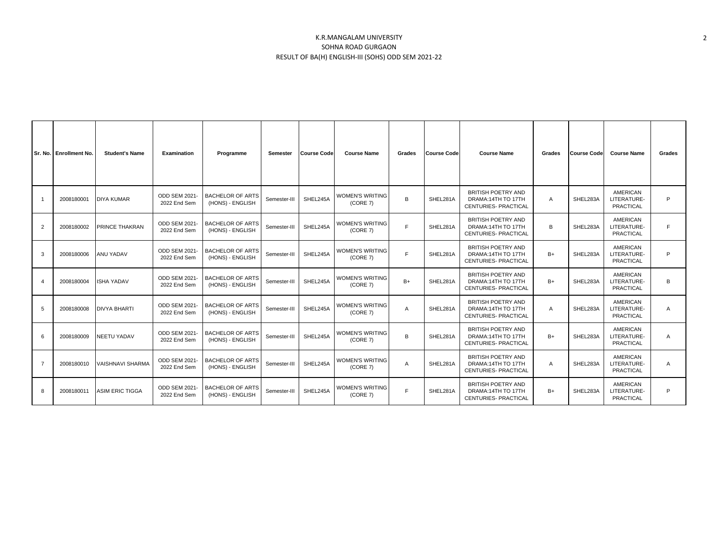## K.R.MANGALAM UNIVERSITY SOHNA ROAD GURGAON RESULT OF BA(H) ENGLISH-III (SOHS) ODD SEM 2021-22

|                | Sr. No. Enrollment No. | <b>Student's Name</b>  | Examination                          | Programme                                   | Semester     | <b>Course Code</b> | <b>Course Name</b>                 | Grades | <b>Course Code</b> | <b>Course Name</b>                                                              | Grades | <b>Course Code</b> | <b>Course Name</b>                                 | Grades         |
|----------------|------------------------|------------------------|--------------------------------------|---------------------------------------------|--------------|--------------------|------------------------------------|--------|--------------------|---------------------------------------------------------------------------------|--------|--------------------|----------------------------------------------------|----------------|
|                | 2008180001             | <b>DIYA KUMAR</b>      | ODD SEM 2021-<br>2022 End Sem        | <b>BACHELOR OF ARTS</b><br>(HONS) - ENGLISH | Semester-III | SHEL245A           | <b>WOMEN'S WRITING</b><br>(CORE 7) | B      | SHEL281A           | <b>BRITISH POETRY AND</b><br>DRAMA: 14TH TO 17TH<br><b>CENTURIES- PRACTICAL</b> | A      | SHEL283A           | <b>AMERICAN</b><br>LITERATURE-<br>PRACTICAL        | P              |
| $\overline{2}$ | 2008180002             | PRINCE THAKRAN         | <b>ODD SEM 2021-</b><br>2022 End Sem | <b>BACHELOR OF ARTS</b><br>(HONS) - ENGLISH | Semester-III | SHEL245A           | <b>WOMEN'S WRITING</b><br>(CORE 7) | F      | SHEL281A           | <b>BRITISH POETRY AND</b><br>DRAMA:14TH TO 17TH<br><b>CENTURIES- PRACTICAL</b>  | B      | SHEL283A           | <b>AMERICAN</b><br>LITERATURE-<br>PRACTICAL        | E              |
| 3              | 2008180006             | <b>ANU YADAV</b>       | ODD SEM 2021-<br>2022 End Sem        | <b>BACHELOR OF ARTS</b><br>(HONS) - ENGLISH | Semester-III | SHEL245A           | <b>WOMEN'S WRITING</b><br>(CORE 7) | F      | SHEL281A           | BRITISH POETRY AND<br>DRAMA: 14TH TO 17TH<br>CENTURIES- PRACTICAL               | $B+$   | SHEL283A           | <b>AMERICAN</b><br>LITERATURE-<br>PRACTICAL        | P              |
|                | 2008180004             | <b>ISHA YADAV</b>      | ODD SEM 2021-<br>2022 End Sem        | <b>BACHELOR OF ARTS</b><br>(HONS) - ENGLISH | Semester-III | SHEL245A           | <b>WOMEN'S WRITING</b><br>(CORE 7) | $B+$   | SHEL281A           | <b>BRITISH POETRY AND</b><br>DRAMA:14TH TO 17TH<br>CENTURIES- PRACTICAL         | $B+$   | SHEL283A           | <b>AMERICAN</b><br>LITERATURE-<br>PRACTICAL        | B              |
| 5              | 2008180008             | <b>DIVYA BHARTI</b>    | ODD SEM 2021-<br>2022 End Sem        | <b>BACHELOR OF ARTS</b><br>(HONS) - ENGLISH | Semester-III | SHEL245A           | <b>WOMEN'S WRITING</b><br>(CORE 7) | A      | SHEL281A           | <b>BRITISH POETRY AND</b><br>DRAMA:14TH TO 17TH<br>CENTURIES- PRACTICAL         | A      | SHEL283A           | <b>AMERICAN</b><br>LITERATURE-<br>PRACTICAL        | Α              |
| 6              | 2008180009             | <b>NEETU YADAV</b>     | <b>ODD SEM 2021-</b><br>2022 End Sem | <b>BACHELOR OF ARTS</b><br>(HONS) - ENGLISH | Semester-III | SHEL245A           | <b>WOMEN'S WRITING</b><br>(CORE 7) | B      | SHEL281A           | <b>BRITISH POETRY AND</b><br>DRAMA:14TH TO 17TH<br><b>CENTURIES- PRACTICAL</b>  | $B+$   | SHEL283A           | <b>AMERICAN</b><br>LITERATURE-<br><b>PRACTICAL</b> | $\overline{A}$ |
| $\overline{7}$ | 2008180010             | VAISHNAVI SHARMA       | <b>ODD SEM 2021-</b><br>2022 End Sem | <b>BACHELOR OF ARTS</b><br>(HONS) - ENGLISH | Semester-III | SHEL245A           | <b>WOMEN'S WRITING</b><br>(CORE 7) | A      | SHEL281A           | <b>BRITISH POETRY AND</b><br>DRAMA:14TH TO 17TH<br>CENTURIES- PRACTICAL         | A      | SHEL283A           | <b>AMERICAN</b><br>LITERATURE-<br>PRACTICAL        | Α              |
| 8              | 2008180011             | <b>ASIM ERIC TIGGA</b> | ODD SEM 2021-<br>2022 End Sem        | <b>BACHELOR OF ARTS</b><br>(HONS) - ENGLISH | Semester-III | SHEL245A           | <b>WOMEN'S WRITING</b><br>(CORE 7) | F      | SHEL281A           | <b>BRITISH POETRY AND</b><br>DRAMA:14TH TO 17TH<br>CENTURIES- PRACTICAL         | $B+$   | SHEL283A           | <b>AMERICAN</b><br>LITERATURE-<br>PRACTICAL        | P              |